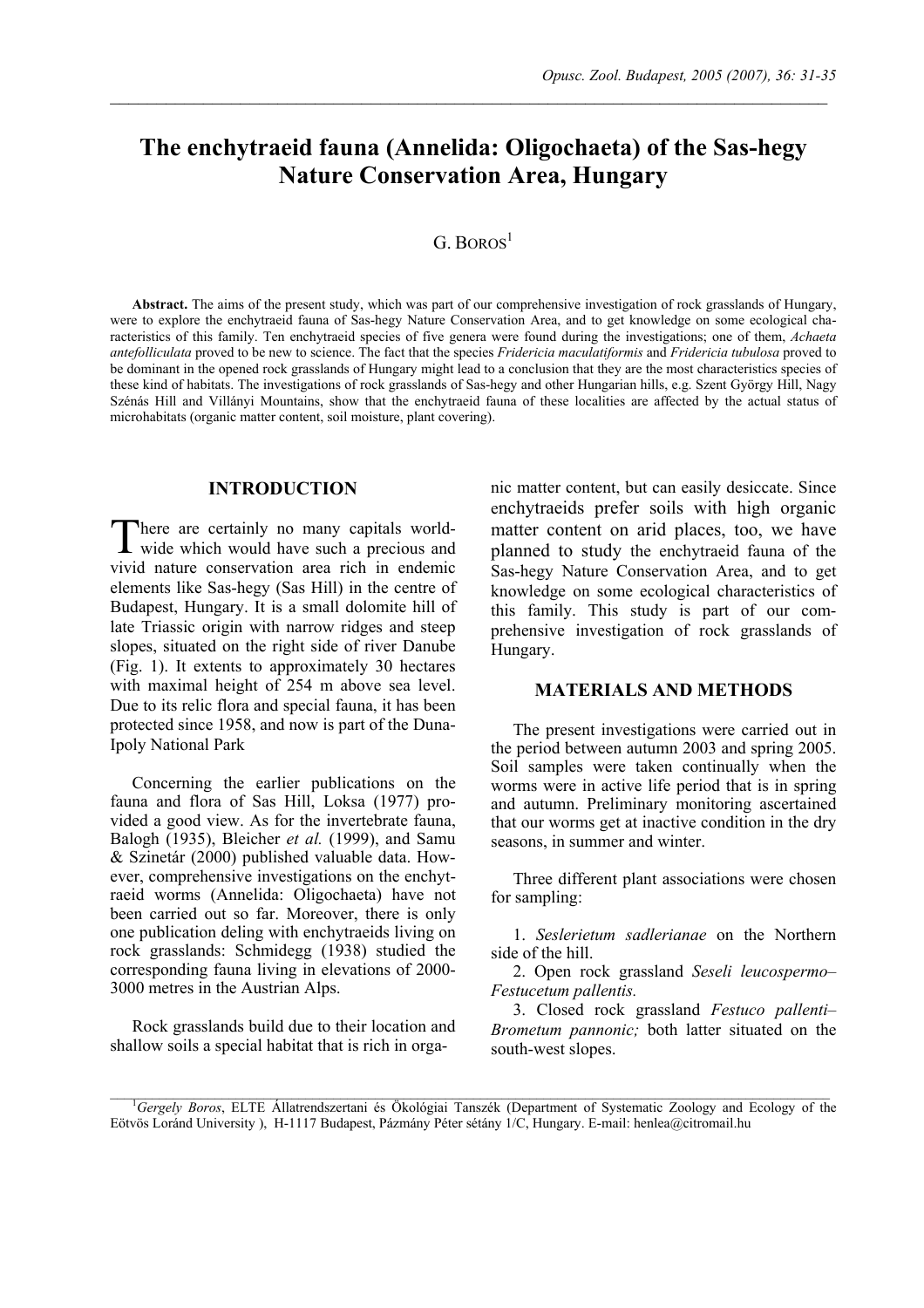# **The enchytraeid fauna (Annelida: Oligochaeta) of the Sas-hegy Nature Conservation Area, Hungary**

 $\mathcal{L}_\mathcal{L} = \{ \mathcal{L}_\mathcal{L} = \{ \mathcal{L}_\mathcal{L} = \{ \mathcal{L}_\mathcal{L} = \{ \mathcal{L}_\mathcal{L} = \{ \mathcal{L}_\mathcal{L} = \{ \mathcal{L}_\mathcal{L} = \{ \mathcal{L}_\mathcal{L} = \{ \mathcal{L}_\mathcal{L} = \{ \mathcal{L}_\mathcal{L} = \{ \mathcal{L}_\mathcal{L} = \{ \mathcal{L}_\mathcal{L} = \{ \mathcal{L}_\mathcal{L} = \{ \mathcal{L}_\mathcal{L} = \{ \mathcal{L}_\mathcal{$ 

## $G.$  BOROS<sup>1</sup>

**Abstract.** The aims of the present study, which was part of our comprehensive investigation of rock grasslands of Hungary, were to explore the enchytraeid fauna of Sas-hegy Nature Conservation Area, and to get knowledge on some ecological characteristics of this family. Ten enchytraeid species of five genera were found during the investigations; one of them, *Achaeta antefolliculata* proved to be new to science. The fact that the species *Fridericia maculatiformis* and *Fridericia tubulosa* proved to be dominant in the opened rock grasslands of Hungary might lead to a conclusion that they are the most characteristics species of these kind of habitats. The investigations of rock grasslands of Sas-hegy and other Hungarian hills, e.g. Szent György Hill, Nagy Szénás Hill and Villányi Mountains, show that the enchytraeid fauna of these localities are affected by the actual status of microhabitats (organic matter content, soil moisture, plant covering).

### **INTRODUCTION**

here are certainly no many capitals world-There are certainly no many capitals world-<br>wide which would have such a precious and vivid nature conservation area rich in endemic elements like Sas-hegy (Sas Hill) in the centre of Budapest, Hungary. It is a small dolomite hill of late Triassic origin with narrow ridges and steep slopes, situated on the right side of river Danube (Fig. 1). It extents to approximately 30 hectares with maximal height of 254 m above sea level. Due to its relic flora and special fauna, it has been protected since 1958, and now is part of the Duna-Ipoly National Park

Concerning the earlier publications on the fauna and flora of Sas Hill, Loksa (1977) provided a good view. As for the invertebrate fauna, Balogh (1935), Bleicher *et al.* (1999), and Samu & Szinetár (2000) published valuable data. However, comprehensive investigations on the enchytraeid worms (Annelida: Oligochaeta) have not been carried out so far. Moreover, there is only one publication deling with enchytraeids living on rock grasslands: Schmidegg (1938) studied the corresponding fauna living in elevations of 2000- 3000 metres in the Austrian Alps.

Rock grasslands build due to their location and shallow soils a special habitat that is rich in organic matter content, but can easily desiccate. Since enchytraeids prefer soils with high organic matter content on arid places, too, we have planned to study the enchytraeid fauna of the Sas-hegy Nature Conservation Area, and to get knowledge on some ecological characteristics of this family. This study is part of our comprehensive investigation of rock grasslands of Hungary.

#### **MATERIALS AND METHODS**

The present investigations were carried out in the period between autumn 2003 and spring 2005. Soil samples were taken continually when the worms were in active life period that is in spring and autumn. Preliminary monitoring ascertained that our worms get at inactive condition in the dry seasons, in summer and winter.

Three different plant associations were chosen for sampling:

1. *Seslerietum sadlerianae* on the Northern side of the hill.

2. Open rock grassland *Seseli leucospermo– Festucetum pallentis.*

3. Closed rock grassland *Festuco pallenti– Brometum pannonic;* both latter situated on the south-west slopes.

\_\_\_\_\_\_\_\_\_\_\_\_\_\_\_\_\_\_\_\_\_\_\_\_\_\_\_\_\_\_\_\_\_\_\_\_\_\_\_\_\_\_\_\_\_\_\_\_\_\_\_\_\_\_\_\_\_\_\_\_\_\_\_\_\_\_\_\_\_\_\_\_\_\_\_\_\_\_\_\_\_\_\_\_\_\_\_\_\_\_\_\_\_\_\_\_\_\_\_\_\_\_\_ 1 *Gergely Boros*, ELTE Állatrendszertani és Ökológiai Tanszék (Department of Systematic Zoology and Ecology of the Eötvös Loránd University ), H-1117 Budapest, Pázmány Péter sétány 1/C, Hungary. E-mail: henlea@citromail.hu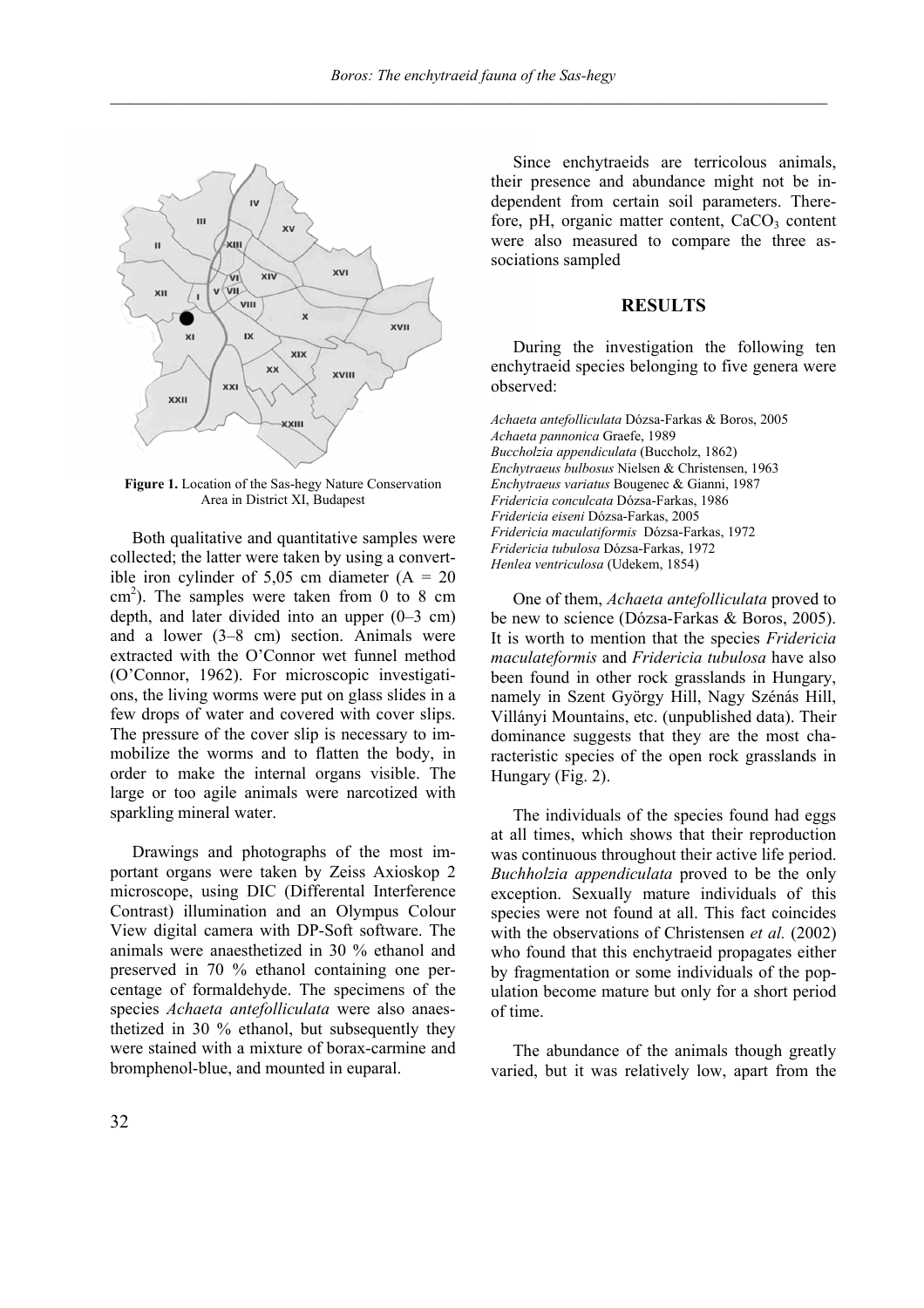

**Figure 1.** Location of the Sas-hegy Nature Conservation Area in District XI, Budapest

Both qualitative and quantitative samples were collected; the latter were taken by using a convertible iron cylinder of 5,05 cm diameter  $(A = 20)$  $\text{cm}^2$ ). The samples were taken from 0 to 8 cm depth, and later divided into an upper (0–3 cm) and a lower (3–8 cm) section. Animals were extracted with the O'Connor wet funnel method (O'Connor, 1962). For microscopic investigations, the living worms were put on glass slides in a few drops of water and covered with cover slips. The pressure of the cover slip is necessary to immobilize the worms and to flatten the body, in order to make the internal organs visible. The large or too agile animals were narcotized with sparkling mineral water.

Drawings and photographs of the most important organs were taken by Zeiss Axioskop 2 microscope, using DIC (Differental Interference Contrast) illumination and an Olympus Colour View digital camera with DP-Soft software. The animals were anaesthetized in 30 % ethanol and preserved in 70 % ethanol containing one percentage of formaldehyde. The specimens of the species *Achaeta antefolliculata* were also anaesthetized in 30 % ethanol, but subsequently they were stained with a mixture of borax-carmine and bromphenol-blue, and mounted in euparal.

Since enchytraeids are terricolous animals, their presence and abundance might not be independent from certain soil parameters. Therefore, pH, organic matter content,  $CaCO<sub>3</sub>$  content were also measured to compare the three associations sampled

#### **RESULTS**

During the investigation the following ten enchytraeid species belonging to five genera were observed:

*Achaeta antefolliculata* Dózsa-Farkas & Boros, 2005 *Achaeta pannonica* Graefe, 1989 *Buccholzia appendiculata* (Buccholz, 1862) *Enchytraeus bulbosus* Nielsen & Christensen, 1963 *Enchytraeus variatus* Bougenec & Gianni, 1987 *Fridericia conculcata* Dózsa-Farkas, 1986 *Fridericia eiseni* Dózsa-Farkas, 2005 *Fridericia maculatiformis* Dózsa-Farkas, 1972 *Fridericia tubulosa* Dózsa-Farkas, 1972 *Henlea ventriculosa* (Udekem, 1854)

One of them, *Achaeta antefolliculata* proved to be new to science (Dózsa-Farkas & Boros, 2005). It is worth to mention that the species *Fridericia maculateformis* and *Fridericia tubulosa* have also been found in other rock grasslands in Hungary, namely in Szent György Hill, Nagy Szénás Hill, Villányi Mountains, etc. (unpublished data). Their dominance suggests that they are the most characteristic species of the open rock grasslands in Hungary (Fig. 2).

The individuals of the species found had eggs at all times, which shows that their reproduction was continuous throughout their active life period. *Buchholzia appendiculata* proved to be the only exception. Sexually mature individuals of this species were not found at all. This fact coincides with the observations of Christensen *et al.* (2002) who found that this enchytraeid propagates either by fragmentation or some individuals of the population become mature but only for a short period of time.

The abundance of the animals though greatly varied, but it was relatively low, apart from the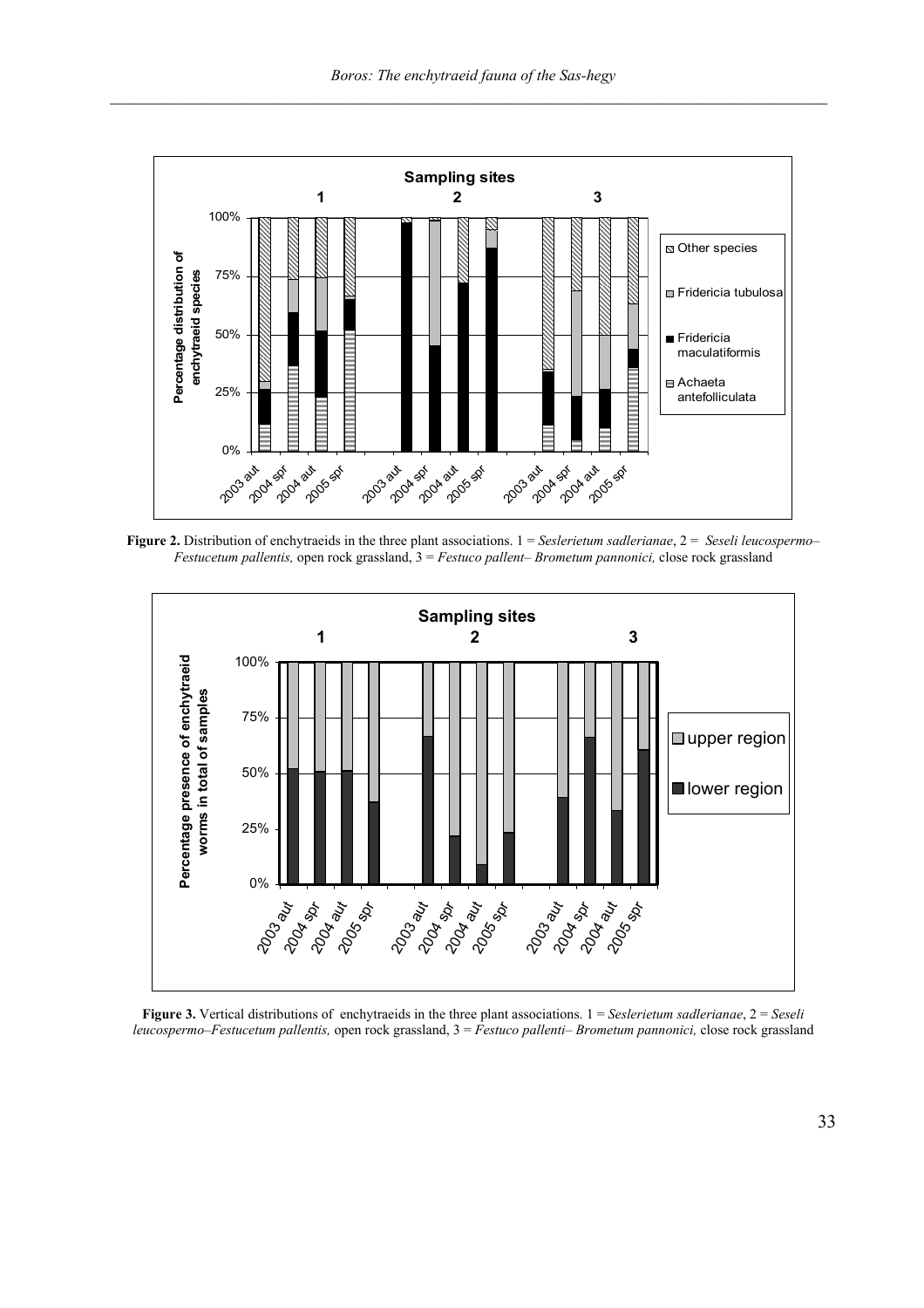

**Figure 2.** Distribution of enchytraeids in the three plant associations.  $1 = S \neq S \neq S$  *allerianae*,  $2 = S \neq S \neq S \neq S \neq S$ *Festucetum pallentis,* open rock grassland, 3 = *Festuco pallent– Brometum pannonici,* close rock grassland



**Figure 3.** Vertical distributions of enchytraeids in the three plant associations.  $1 = S \cdot \text{e}$ *s allerianae*,  $2 = S \cdot \text{e}$ *s leucospermo–Festucetum pallentis,* open rock grassland, 3 = *Festuco pallenti– Brometum pannonici,* close rock grassland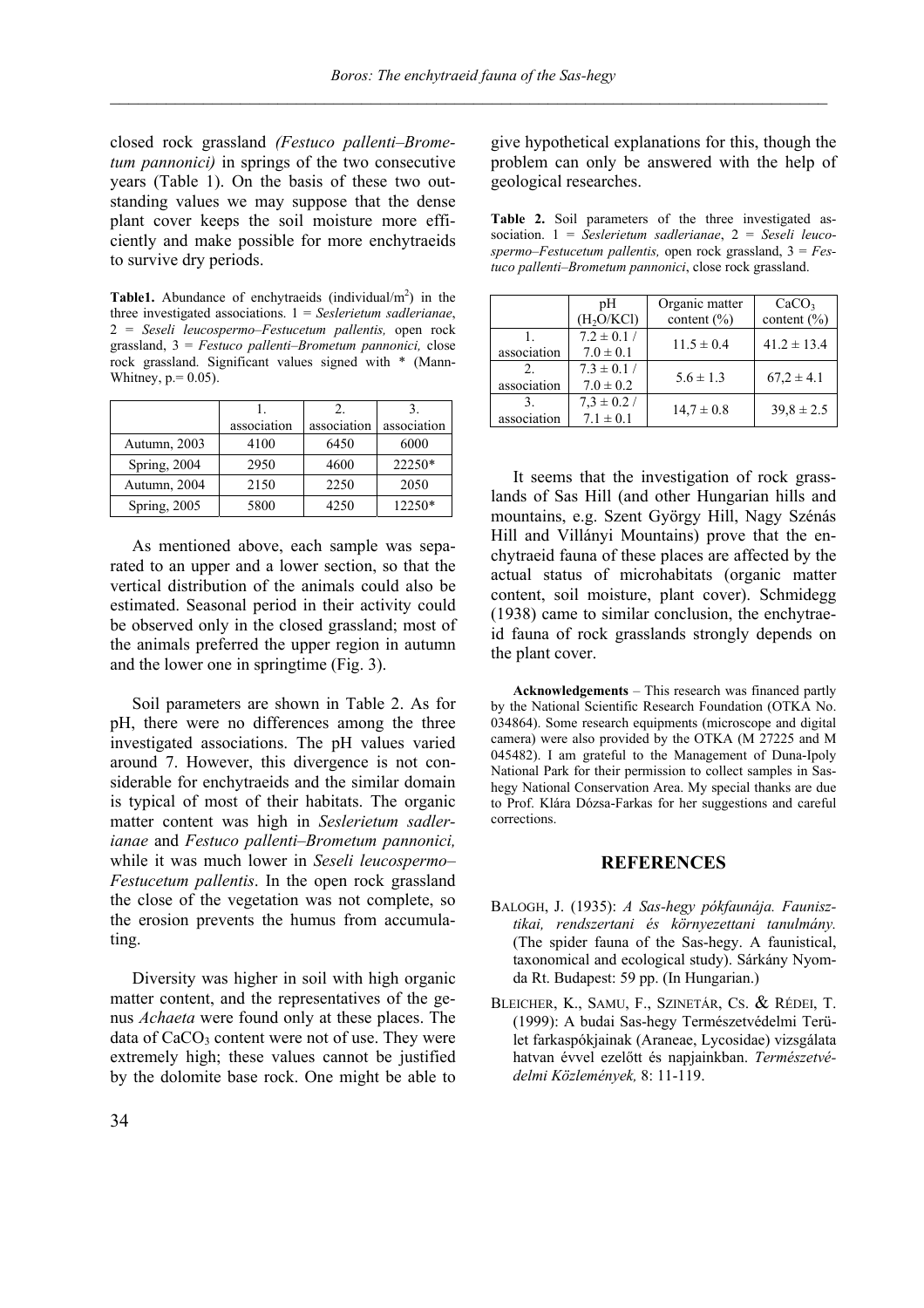closed rock grassland *(Festuco pallenti–Brometum pannonici)* in springs of the two consecutive years (Table 1). On the basis of these two outstanding values we may suppose that the dense plant cover keeps the soil moisture more efficiently and make possible for more enchytraeids to survive dry periods.

**Table1.** Abundance of enchytraeids (individual/ $m<sup>2</sup>$ ) in the three investigated associations. 1 = *Seslerietum sadlerianae*, 2 = *Seseli leucospermo–Festucetum pallentis,* open rock grassland, 3 = *Festuco pallenti–Brometum pannonici,* close rock grassland. Significant values signed with \* (Mann-Whitney,  $p = 0.05$ ).

|              | association | association | association |
|--------------|-------------|-------------|-------------|
| Autumn, 2003 | 4100        | 6450        | 6000        |
| Spring, 2004 | 2950        | 4600        | 22250*      |
| Autumn, 2004 | 2150        | 2250        | 2050        |
| Spring, 2005 | 5800        | 4250        | 12250*      |

As mentioned above, each sample was separated to an upper and a lower section, so that the vertical distribution of the animals could also be estimated. Seasonal period in their activity could be observed only in the closed grassland; most of the animals preferred the upper region in autumn and the lower one in springtime (Fig. 3).

Soil parameters are shown in Table 2. As for pH, there were no differences among the three investigated associations. The pH values varied around 7. However, this divergence is not considerable for enchytraeids and the similar domain is typical of most of their habitats. The organic matter content was high in *Seslerietum sadlerianae* and *Festuco pallenti–Brometum pannonici,* while it was much lower in *Seseli leucospermo– Festucetum pallentis*. In the open rock grassland the close of the vegetation was not complete, so the erosion prevents the humus from accumulating.

Diversity was higher in soil with high organic matter content, and the representatives of the genus *Achaeta* were found only at these places. The data of  $CaCO<sub>3</sub>$  content were not of use. They were extremely high; these values cannot be justified by the dolomite base rock. One might be able to

give hypothetical explanations for this, though the problem can only be answered with the help of geological researches.

**Table 2.** Soil parameters of the three investigated association. 1 = *Seslerietum sadlerianae*, 2 = *Seseli leucospermo–Festucetum pallentis,* open rock grassland, 3 = *Festuco pallenti–Brometum pannonici*, close rock grassland.

|             | pΗ<br>(H <sub>2</sub> O/KCl)     | Organic matter<br>content $(\% )$ | CaCO <sub>3</sub><br>content $(\% )$ |
|-------------|----------------------------------|-----------------------------------|--------------------------------------|
| association | $7.2 \pm 0.1$ /<br>$7.0 \pm 0.1$ | $11.5 \pm 0.4$                    | $41.2 \pm 13.4$                      |
| association | $7.3 \pm 0.1$ /<br>$7.0 \pm 0.2$ | $5.6 \pm 1.3$                     | $67.2 \pm 4.1$                       |
| association | $7.3 \pm 0.2$ /<br>$7.1 \pm 0.1$ | $14.7 \pm 0.8$                    | $39.8 \pm 2.5$                       |

It seems that the investigation of rock grasslands of Sas Hill (and other Hungarian hills and mountains, e.g. Szent György Hill, Nagy Szénás Hill and Villányi Mountains) prove that the enchytraeid fauna of these places are affected by the actual status of microhabitats (organic matter content, soil moisture, plant cover). Schmidegg (1938) came to similar conclusion, the enchytraeid fauna of rock grasslands strongly depends on the plant cover.

**Acknowledgements** – This research was financed partly by the National Scientific Research Foundation (OTKA No. 034864). Some research equipments (microscope and digital camera) were also provided by the OTKA (M 27225 and M 045482). I am grateful to the Management of Duna-Ipoly National Park for their permission to collect samples in Sashegy National Conservation Area. My special thanks are due to Prof. Klára Dózsa-Farkas for her suggestions and careful corrections.

#### **REFERENCES**

- BALOGH, J. (1935): *A Sas-hegy pókfaunája. Faunisztikai, rendszertani és környezettani tanulmány.*  (The spider fauna of the Sas-hegy. A faunistical, taxonomical and ecological study). Sárkány Nyomda Rt. Budapest: 59 pp. (In Hungarian.)
- BLEICHER, K., SAMU, F., SZINETÁR, CS. & RÉDEI, T. (1999): A budai Sas-hegy Természetvédelmi Terület farkaspókjainak (Araneae, Lycosidae) vizsgálata hatvan évvel ezelőtt és napjainkban. *Természetvédelmi Közlemények,* 8: 11-119.